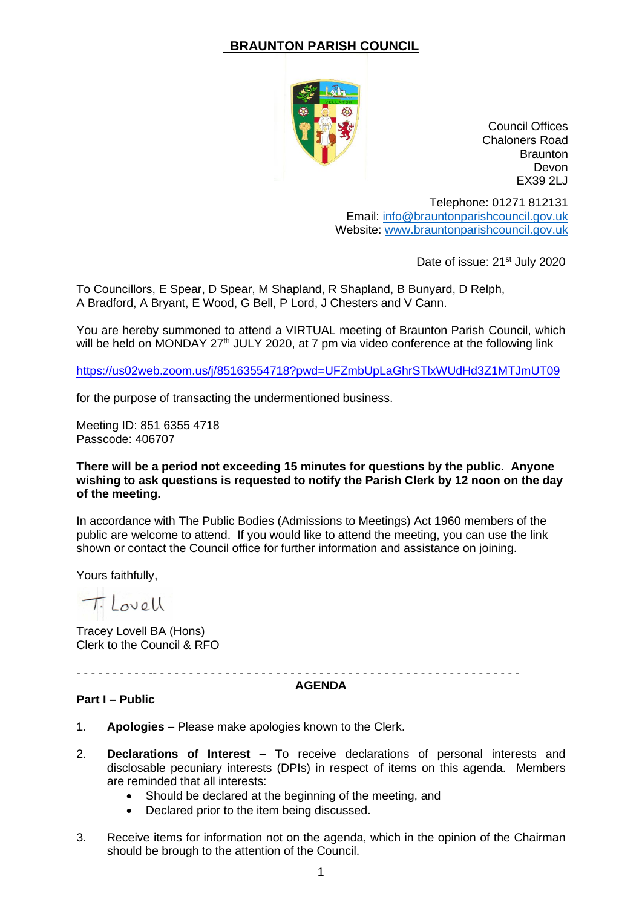# **BRAUNTON PARISH COUNCIL**



Council Offices Chaloners Road **Braunton** Devon EX39 2LJ

Telephone: 01271 812131 Email: [info@brauntonparishcouncil.gov.uk](mailto:info@brauntonparishcouncil.gov.uk) Website: [www.brauntonparishcouncil.gov.uk](http://www.brauntonparishcouncil.gov.uk/)

Date of issue: 21<sup>st</sup> July 2020

To Councillors, E Spear, D Spear, M Shapland, R Shapland, B Bunyard, D Relph, A Bradford, A Bryant, E Wood, G Bell, P Lord, J Chesters and V Cann.

You are hereby summoned to attend a VIRTUAL meeting of Braunton Parish Council, which will be held on MONDAY 27<sup>th</sup> JULY 2020, at 7 pm via video conference at the following link

<https://us02web.zoom.us/j/85163554718?pwd=UFZmbUpLaGhrSTlxWUdHd3Z1MTJmUT09>

for the purpose of transacting the undermentioned business.

Meeting ID: 851 6355 4718 Passcode: 406707

### **There will be a period not exceeding 15 minutes for questions by the public. Anyone wishing to ask questions is requested to notify the Parish Clerk by 12 noon on the day of the meeting.**

In accordance with The Public Bodies (Admissions to Meetings) Act 1960 members of the public are welcome to attend. If you would like to attend the meeting, you can use the link shown or contact the Council office for further information and assistance on joining.

Yours faithfully,

Tilovell

Tracey Lovell BA (Hons) Clerk to the Council & RFO

- - - - - - - - - - -- - - - - - - - - - - - - - - - - - - - - - - - - - - - - - - - - - - - - - - - - - - - - - - - - - -

#### **AGENDA**

#### **Part I – Public**

- 1. **Apologies –** Please make apologies known to the Clerk.
- 2. **Declarations of Interest –** To receive declarations of personal interests and disclosable pecuniary interests (DPIs) in respect of items on this agenda. Members are reminded that all interests:
	- Should be declared at the beginning of the meeting, and
	- Declared prior to the item being discussed.
- 3. Receive items for information not on the agenda, which in the opinion of the Chairman should be brough to the attention of the Council.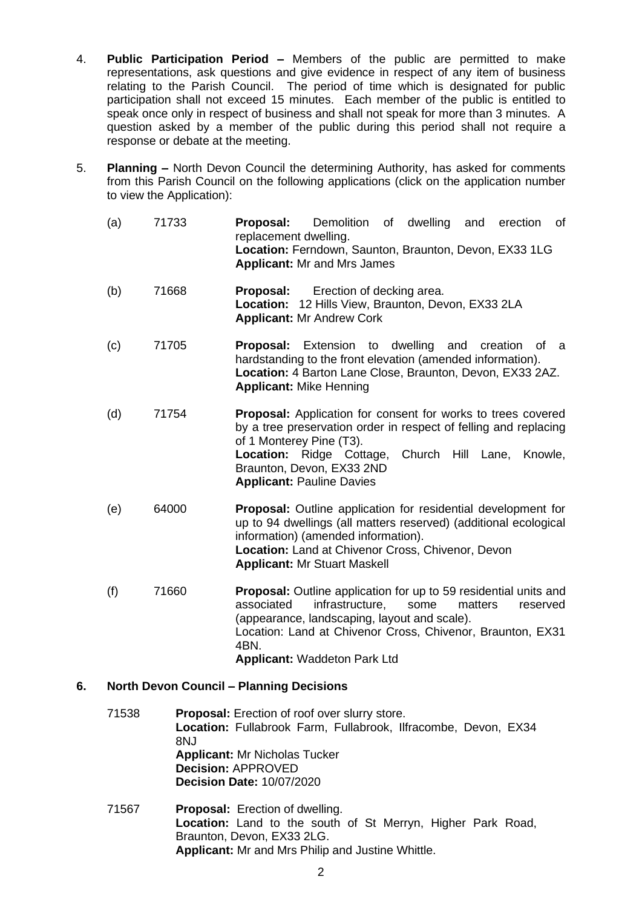- 4. **Public Participation Period –** Members of the public are permitted to make representations, ask questions and give evidence in respect of any item of business relating to the Parish Council. The period of time which is designated for public participation shall not exceed 15 minutes. Each member of the public is entitled to speak once only in respect of business and shall not speak for more than 3 minutes. A question asked by a member of the public during this period shall not require a response or debate at the meeting.
- 5. **Planning –** North Devon Council the determining Authority, has asked for comments from this Parish Council on the following applications (click on the application number to view the Application):

| (a) | 71733 | Proposal:<br>Demolition of dwelling and<br>erection<br>0f<br>replacement dwelling.<br>Location: Ferndown, Saunton, Braunton, Devon, EX33 1LG<br><b>Applicant: Mr and Mrs James</b>                                                                                                                         |
|-----|-------|------------------------------------------------------------------------------------------------------------------------------------------------------------------------------------------------------------------------------------------------------------------------------------------------------------|
| (b) | 71668 | Erection of decking area.<br>Proposal:<br>Location: 12 Hills View, Braunton, Devon, EX33 2LA<br><b>Applicant: Mr Andrew Cork</b>                                                                                                                                                                           |
| (c) | 71705 | <b>Proposal:</b> Extension to dwelling and<br>creation<br>0f<br>а<br>hardstanding to the front elevation (amended information).<br>Location: 4 Barton Lane Close, Braunton, Devon, EX33 2AZ.<br><b>Applicant: Mike Henning</b>                                                                             |
| (d) | 71754 | <b>Proposal:</b> Application for consent for works to trees covered<br>by a tree preservation order in respect of felling and replacing<br>of 1 Monterey Pine (T3).<br><b>Location:</b> Ridge Cottage,<br>Church<br>Hill Lane,<br>Knowle,<br>Braunton, Devon, EX33 2ND<br><b>Applicant: Pauline Davies</b> |
| (e) | 64000 | <b>Proposal:</b> Outline application for residential development for<br>up to 94 dwellings (all matters reserved) (additional ecological<br>information) (amended information).<br>Location: Land at Chivenor Cross, Chivenor, Devon<br><b>Applicant: Mr Stuart Maskell</b>                                |
| (f) | 71660 | <b>Proposal:</b> Outline application for up to 59 residential units and<br>infrastructure,<br>associated<br>some<br>matters<br>reserved<br>(appearance, landscaping, layout and scale).<br>Location: Land at Chivenor Cross, Chivenor, Braunton, EX31<br>4BN.<br><b>Applicant: Waddeton Park Ltd</b>       |

## **6. North Devon Council – Planning Decisions**

- 71538 **Proposal:** Erection of roof over slurry store. **Location:** Fullabrook Farm, Fullabrook, Ilfracombe, Devon, EX34 8NJ **Applicant:** Mr Nicholas Tucker **Decision:** APPROVED **Decision Date:** 10/07/2020
- 71567 **Proposal:** Erection of dwelling. **Location:** Land to the south of St Merryn, Higher Park Road, Braunton, Devon, EX33 2LG. **Applicant:** Mr and Mrs Philip and Justine Whittle.